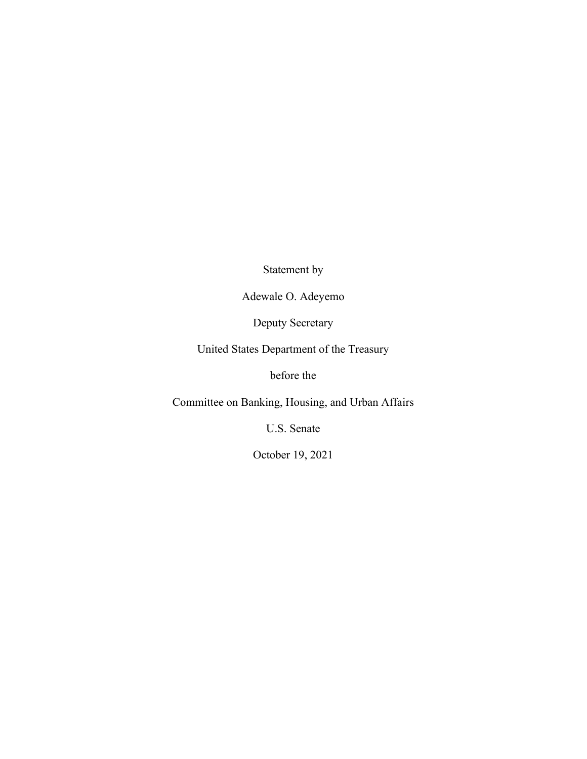Statement by

Adewale O. Adeyemo

Deputy Secretary

United States Department of the Treasury

before the

Committee on Banking, Housing, and Urban Affairs

U.S. Senate

October 19, 2021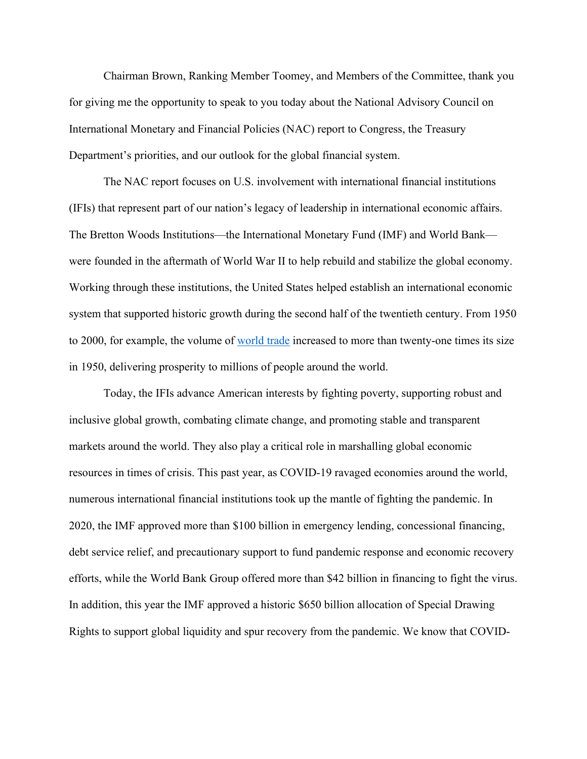Chairman Brown, Ranking Member Toomey, and Members of the Committee, thank you for giving me the opportunity to speak to you today about the National Advisory Council on International Monetary and Financial Policies (NAC) report to Congress, the Treasury Department's priorities, and our outlook for the global financial system.

The NAC report focuses on U.S. involvement with international financial institutions (IFIs) that represent part of our nation's legacy of leadership in international economic affairs. The Bretton Woods Institutions—the International Monetary Fund (IMF) and World Bank were founded in the aftermath of World War II to help rebuild and stabilize the global economy. Working through these institutions, the United States helped establish an international economic system that supported historic growth during the second half of the twentieth century. From 1950 to 2000, for example, the volume of [world trade](https://www.wto.org/english/res_e/statis_e/trade_evolution_e/evolution_trade_wto_e.htm) increased to more than twenty-one times its size in 1950, delivering prosperity to millions of people around the world.

Today, the IFIs advance American interests by fighting poverty, supporting robust and inclusive global growth, combating climate change, and promoting stable and transparent markets around the world. They also play a critical role in marshalling global economic resources in times of crisis. This past year, as COVID-19 ravaged economies around the world, numerous international financial institutions took up the mantle of fighting the pandemic. In 2020, the IMF approved more than \$100 billion in emergency lending, concessional financing, debt service relief, and precautionary support to fund pandemic response and economic recovery efforts, while the World Bank Group offered more than \$42 billion in financing to fight the virus. In addition, this year the IMF approved a historic \$650 billion allocation of Special Drawing Rights to support global liquidity and spur recovery from the pandemic. We know that COVID-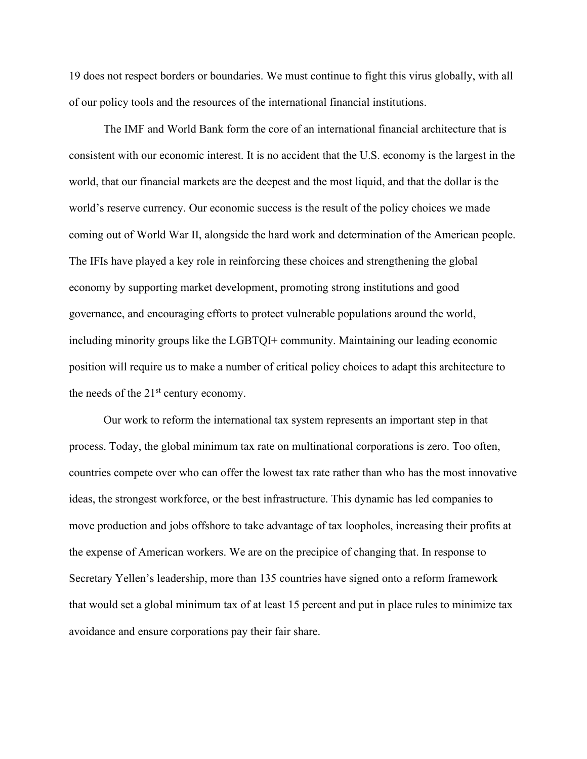19 does not respect borders or boundaries. We must continue to fight this virus globally, with all of our policy tools and the resources of the international financial institutions.

The IMF and World Bank form the core of an international financial architecture that is consistent with our economic interest. It is no accident that the U.S. economy is the largest in the world, that our financial markets are the deepest and the most liquid, and that the dollar is the world's reserve currency. Our economic success is the result of the policy choices we made coming out of World War II, alongside the hard work and determination of the American people. The IFIs have played a key role in reinforcing these choices and strengthening the global economy by supporting market development, promoting strong institutions and good governance, and encouraging efforts to protect vulnerable populations around the world, including minority groups like the LGBTQI+ community. Maintaining our leading economic position will require us to make a number of critical policy choices to adapt this architecture to the needs of the  $21<sup>st</sup>$  century economy.

Our work to reform the international tax system represents an important step in that process. Today, the global minimum tax rate on multinational corporations is zero. Too often, countries compete over who can offer the lowest tax rate rather than who has the most innovative ideas, the strongest workforce, or the best infrastructure. This dynamic has led companies to move production and jobs offshore to take advantage of tax loopholes, increasing their profits at the expense of American workers. We are on the precipice of changing that. In response to Secretary Yellen's leadership, more than 135 countries have signed onto a reform framework that would set a global minimum tax of at least 15 percent and put in place rules to minimize tax avoidance and ensure corporations pay their fair share.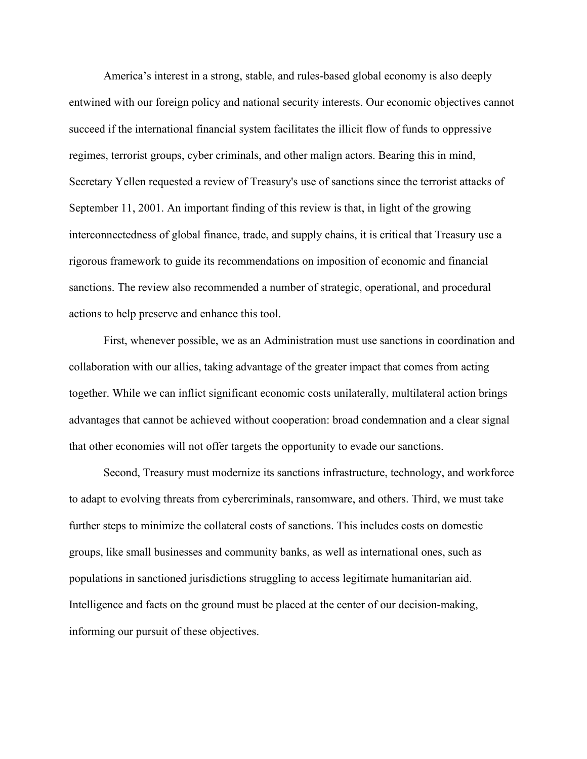America's interest in a strong, stable, and rules-based global economy is also deeply entwined with our foreign policy and national security interests. Our economic objectives cannot succeed if the international financial system facilitates the illicit flow of funds to oppressive regimes, terrorist groups, cyber criminals, and other malign actors. Bearing this in mind, Secretary Yellen requested a review of Treasury's use of sanctions since the terrorist attacks of September 11, 2001. An important finding of this review is that, in light of the growing interconnectedness of global finance, trade, and supply chains, it is critical that Treasury use a rigorous framework to guide its recommendations on imposition of economic and financial sanctions. The review also recommended a number of strategic, operational, and procedural actions to help preserve and enhance this tool.

First, whenever possible, we as an Administration must use sanctions in coordination and collaboration with our allies, taking advantage of the greater impact that comes from acting together. While we can inflict significant economic costs unilaterally, multilateral action brings advantages that cannot be achieved without cooperation: broad condemnation and a clear signal that other economies will not offer targets the opportunity to evade our sanctions.

Second, Treasury must modernize its sanctions infrastructure, technology, and workforce to adapt to evolving threats from cybercriminals, ransomware, and others. Third, we must take further steps to minimize the collateral costs of sanctions. This includes costs on domestic groups, like small businesses and community banks, as well as international ones, such as populations in sanctioned jurisdictions struggling to access legitimate humanitarian aid. Intelligence and facts on the ground must be placed at the center of our decision-making, informing our pursuit of these objectives.